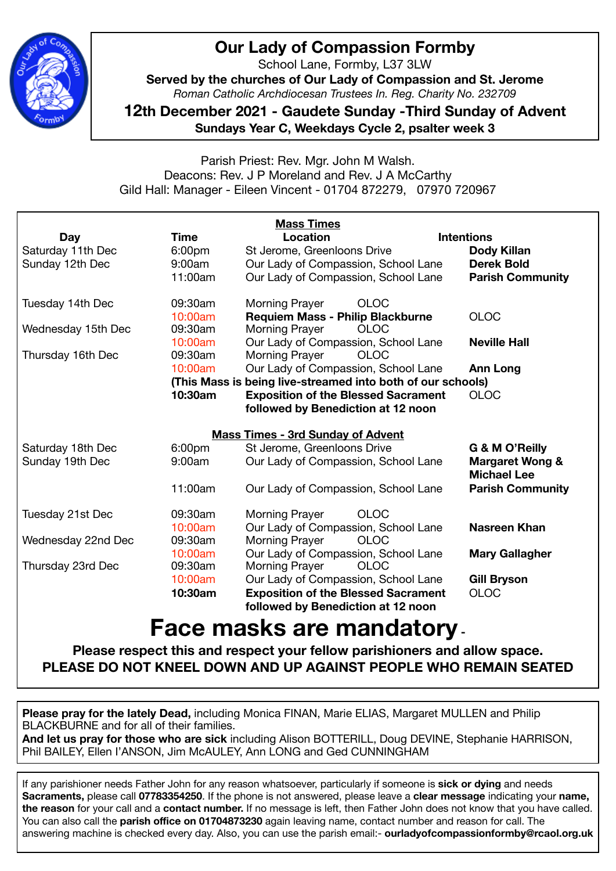

## **Our Lady of Compassion Formby**

School Lane, Formby, L37 3LW

**Served by the churches of Our Lady of Compassion and St. Jerome**  *Roman Catholic Archdiocesan Trustees In. Reg. Charity No. 232709* 

**12th December 2021 - Gaudete Sunday -Third Sunday of Advent Sundays Year C, Weekdays Cycle 2, psalter week 3** 

Parish Priest: Rev. Mgr. John M Walsh. Deacons: Rev. J P Moreland and Rev. J A McCarthy Gild Hall: Manager - Eileen Vincent - 01704 872279, 07970 720967

|                    |                    | <b>Mass Times</b>                                           |                                                  |
|--------------------|--------------------|-------------------------------------------------------------|--------------------------------------------------|
| Day                | Time               | Location                                                    | <b>Intentions</b>                                |
| Saturday 11th Dec  | 6:00 <sub>pm</sub> | St Jerome, Greenloons Drive                                 | <b>Dody Killan</b>                               |
| Sunday 12th Dec    | 9:00am             | Our Lady of Compassion, School Lane                         | <b>Derek Bold</b>                                |
|                    | 11:00am            | Our Lady of Compassion, School Lane                         | <b>Parish Community</b>                          |
| Tuesday 14th Dec   | 09:30am            | <b>OLOC</b><br><b>Morning Prayer</b>                        |                                                  |
|                    | 10:00am            | <b>Requiem Mass - Philip Blackburne</b>                     | <b>OLOC</b>                                      |
| Wednesday 15th Dec | 09:30am            | <b>Morning Prayer</b><br><b>OLOC</b>                        |                                                  |
|                    | 10:00am            | Our Lady of Compassion, School Lane                         | <b>Neville Hall</b>                              |
| Thursday 16th Dec  | 09:30am            | Morning Prayer<br><b>OLOC</b>                               |                                                  |
|                    | 10:00am            | Our Lady of Compassion, School Lane                         | <b>Ann Long</b>                                  |
|                    |                    | (This Mass is being live-streamed into both of our schools) |                                                  |
|                    | 10:30am            | <b>Exposition of the Blessed Sacrament</b>                  | <b>OLOC</b>                                      |
|                    |                    | followed by Benediction at 12 noon                          |                                                  |
|                    |                    | <b>Mass Times - 3rd Sunday of Advent</b>                    |                                                  |
| Saturday 18th Dec  | 6:00 <sub>pm</sub> | St Jerome, Greenloons Drive                                 | G & M O'Reilly                                   |
| Sunday 19th Dec    | 9:00am             | Our Lady of Compassion, School Lane                         | <b>Margaret Wong &amp;</b><br><b>Michael Lee</b> |
|                    | 11:00am            | Our Lady of Compassion, School Lane                         | <b>Parish Community</b>                          |
| Tuesday 21st Dec   | 09:30am            | <b>OLOC</b><br><b>Morning Prayer</b>                        |                                                  |
|                    | 10:00am            | Our Lady of Compassion, School Lane                         | <b>Nasreen Khan</b>                              |
| Wednesday 22nd Dec | 09:30am            | <b>Morning Prayer</b><br><b>OLOC</b>                        |                                                  |
|                    | 10:00am            | Our Lady of Compassion, School Lane                         | <b>Mary Gallagher</b>                            |
| Thursday 23rd Dec  | 09:30am            | Morning Prayer<br><b>OLOC</b>                               |                                                  |
|                    | 10:00am            | Our Lady of Compassion, School Lane                         | <b>Gill Bryson</b>                               |
|                    | 10:30am            | <b>Exposition of the Blessed Sacrament</b>                  | <b>OLOC</b>                                      |
|                    |                    | followed by Benediction at 12 noon                          |                                                  |
|                    |                    |                                                             |                                                  |

## **Face masks are mandatory -**

**Please respect this and respect your fellow parishioners and allow space. PLEASE DO NOT KNEEL DOWN AND UP AGAINST PEOPLE WHO REMAIN SEATED** 

**Please pray for the lately Dead,** including Monica FINAN, Marie ELIAS, Margaret MULLEN and Philip BLACKBURNE and for all of their families.

**And let us pray for those who are sick** including Alison BOTTERILL, Doug DEVINE, Stephanie HARRISON, Phil BAILEY, Ellen I'ANSON, Jim McAULEY, Ann LONG and Ged CUNNINGHAM

If any parishioner needs Father John for any reason whatsoever, particularly if someone is **sick or dying** and needs **Sacraments,** please call **07783354250**. If the phone is not answered, please leave a **clear message** indicating your **name, the reason** for your call and a **contact number.** If no message is left, then Father John does not know that you have called. You can also call the **parish office on 01704873230** again leaving name, contact number and reason for call. The answering machine is checked every day. Also, you can use the parish email:- **ourladyofcompassionformby@rcaol.org.uk**